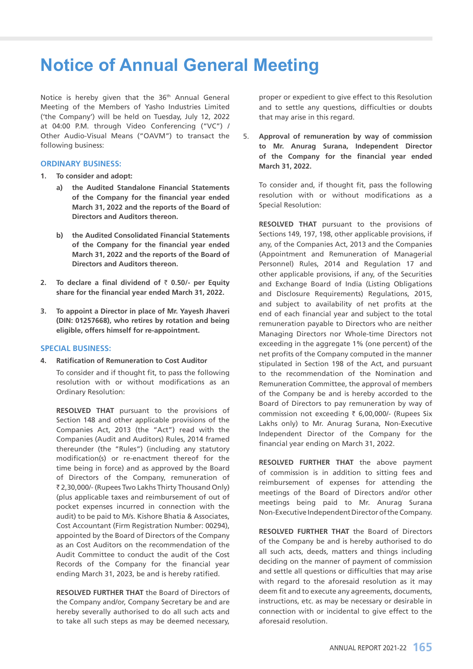# **Notice of Annual General Meeting**

Notice is hereby given that the 36<sup>th</sup> Annual General Meeting of the Members of Yasho Industries Limited ('the Company') will be held on Tuesday, July 12, 2022 at 04:00 P.M. through Video Conferencing ("VC") / Other Audio-Visual Means ("OAVM") to transact the following business:

# **ORDINARY BUSINESS:**

- **1. To consider and adopt:**
	- **a) the Audited Standalone Financial Statements of the Company for the financial year ended March 31, 2022 and the reports of the Board of Directors and Auditors thereon.**
	- **b) the Audited Consolidated Financial Statements of the Company for the financial year ended March 31, 2022 and the reports of the Board of Directors and Auditors thereon.**
- **2.** To declare a final dividend of  $\bar{\tau}$  0.50/- per Equity **share for the financial year ended March 31, 2022.**
- **3. To appoint a Director in place of Mr. Yayesh Jhaveri (DIN: 01257668), who retires by rotation and being eligible, offers himself for re-appointment.**

# **SPECIAL BUSINESS:**

**4. Ratification of Remuneration to Cost Auditor**

 To consider and if thought fit, to pass the following resolution with or without modifications as an Ordinary Resolution:

**RESOLVED THAT** pursuant to the provisions of Section 148 and other applicable provisions of the Companies Act, 2013 (the "Act") read with the Companies (Audit and Auditors) Rules, 2014 framed thereunder (the "Rules") (including any statutory modification(s) or re-enactment thereof for the time being in force) and as approved by the Board of Directors of the Company, remuneration of ` 2,30,000/- (Rupees Two Lakhs Thirty Thousand Only) (plus applicable taxes and reimbursement of out of pocket expenses incurred in connection with the audit) to be paid to M/s. Kishore Bhatia & Associates, Cost Accountant (Firm Registration Number: 00294), appointed by the Board of Directors of the Company as an Cost Auditors on the recommendation of the Audit Committee to conduct the audit of the Cost Records of the Company for the financial year ending March 31, 2023, be and is hereby ratified.

 **RESOLVED FURTHER THAT** the Board of Directors of the Company and/or, Company Secretary be and are hereby severally authorised to do all such acts and to take all such steps as may be deemed necessary,

proper or expedient to give effect to this Resolution and to settle any questions, difficulties or doubts that may arise in this regard.

5. **Approval of remuneration by way of commission to Mr. Anurag Surana, Independent Director of the Company for the financial year ended March 31, 2022.**

 To consider and, if thought fit, pass the following resolution with or without modifications as a Special Resolution:

 **RESOLVED THAT** pursuant to the provisions of Sections 149, 197, 198, other applicable provisions, if any, of the Companies Act, 2013 and the Companies (Appointment and Remuneration of Managerial Personnel) Rules, 2014 and Regulation 17 and other applicable provisions, if any, of the Securities and Exchange Board of India (Listing Obligations and Disclosure Requirements) Regulations, 2015, and subject to availability of net profits at the end of each financial year and subject to the total remuneration payable to Directors who are neither Managing Directors nor Whole-time Directors not exceeding in the aggregate 1% (one percent) of the net profits of the Company computed in the manner stipulated in Section 198 of the Act, and pursuant to the recommendation of the Nomination and Remuneration Committee, the approval of members of the Company be and is hereby accorded to the Board of Directors to pay remuneration by way of commission not exceeding  $\bar{\tau}$  6,00,000/- (Rupees Six Lakhs only) to Mr. Anurag Surana, Non-Executive Independent Director of the Company for the financial year ending on March 31, 2022.

 **RESOLVED FURTHER THAT** the above payment of commission is in addition to sitting fees and reimbursement of expenses for attending the meetings of the Board of Directors and/or other meetings being paid to Mr. Anurag Surana Non-Executive Independent Director of the Company.

 **RESOLVED FURTHER THAT** the Board of Directors of the Company be and is hereby authorised to do all such acts, deeds, matters and things including deciding on the manner of payment of commission and settle all questions or difficulties that may arise with regard to the aforesaid resolution as it may deem fit and to execute any agreements, documents, instructions, etc. as may be necessary or desirable in connection with or incidental to give effect to the aforesaid resolution.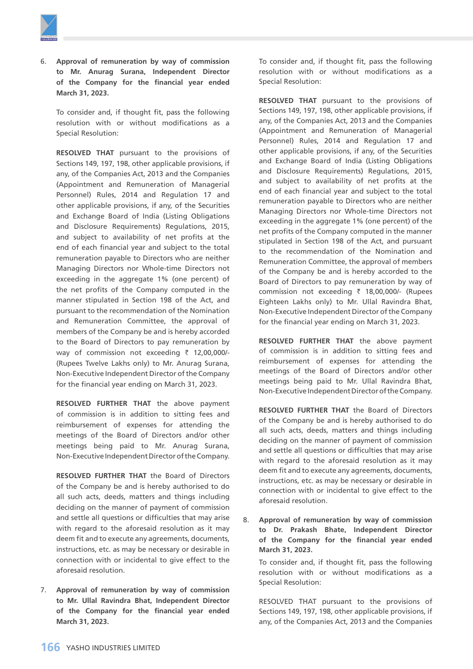

6. **Approval of remuneration by way of commission to Mr. Anurag Surana, Independent Director of the Company for the financial year ended March 31, 2023.**

 To consider and, if thought fit, pass the following resolution with or without modifications as a Special Resolution:

 **RESOLVED THAT** pursuant to the provisions of Sections 149, 197, 198, other applicable provisions, if any, of the Companies Act, 2013 and the Companies (Appointment and Remuneration of Managerial Personnel) Rules, 2014 and Regulation 17 and other applicable provisions, if any, of the Securities and Exchange Board of India (Listing Obligations and Disclosure Requirements) Regulations, 2015, and subject to availability of net profits at the end of each financial year and subject to the total remuneration payable to Directors who are neither Managing Directors nor Whole-time Directors not exceeding in the aggregate 1% (one percent) of the net profits of the Company computed in the manner stipulated in Section 198 of the Act, and pursuant to the recommendation of the Nomination and Remuneration Committee, the approval of members of the Company be and is hereby accorded to the Board of Directors to pay remuneration by way of commission not exceeding  $\bar{\tau}$  12,00,000/-(Rupees Twelve Lakhs only) to Mr. Anurag Surana, Non-Executive Independent Director of the Company for the financial year ending on March 31, 2023.

 **RESOLVED FURTHER THAT** the above payment of commission is in addition to sitting fees and reimbursement of expenses for attending the meetings of the Board of Directors and/or other meetings being paid to Mr. Anurag Surana, Non-Executive Independent Director of the Company.

 **RESOLVED FURTHER THAT** the Board of Directors of the Company be and is hereby authorised to do all such acts, deeds, matters and things including deciding on the manner of payment of commission and settle all questions or difficulties that may arise with regard to the aforesaid resolution as it may deem fit and to execute any agreements, documents, instructions, etc. as may be necessary or desirable in connection with or incidental to give effect to the aforesaid resolution.

7. **Approval of remuneration by way of commission to Mr. Ullal Ravindra Bhat, Independent Director of the Company for the financial year ended March 31, 2023.**

 To consider and, if thought fit, pass the following resolution with or without modifications as a Special Resolution:

 **RESOLVED THAT** pursuant to the provisions of Sections 149, 197, 198, other applicable provisions, if any, of the Companies Act, 2013 and the Companies (Appointment and Remuneration of Managerial Personnel) Rules, 2014 and Regulation 17 and other applicable provisions, if any, of the Securities and Exchange Board of India (Listing Obligations and Disclosure Requirements) Regulations, 2015, and subject to availability of net profits at the end of each financial year and subject to the total remuneration payable to Directors who are neither Managing Directors nor Whole-time Directors not exceeding in the aggregate 1% (one percent) of the net profits of the Company computed in the manner stipulated in Section 198 of the Act, and pursuant to the recommendation of the Nomination and Remuneration Committee, the approval of members of the Company be and is hereby accorded to the Board of Directors to pay remuneration by way of commission not exceeding  $\bar{\tau}$  18,00,000/- (Rupees Eighteen Lakhs only) to Mr. Ullal Ravindra Bhat, Non-Executive Independent Director of the Company for the financial year ending on March 31, 2023.

 **RESOLVED FURTHER THAT** the above payment of commission is in addition to sitting fees and reimbursement of expenses for attending the meetings of the Board of Directors and/or other meetings being paid to Mr. Ullal Ravindra Bhat, Non-Executive Independent Director of the Company.

 **RESOLVED FURTHER THAT** the Board of Directors of the Company be and is hereby authorised to do all such acts, deeds, matters and things including deciding on the manner of payment of commission and settle all questions or difficulties that may arise with regard to the aforesaid resolution as it may deem fit and to execute any agreements, documents, instructions, etc. as may be necessary or desirable in connection with or incidental to give effect to the aforesaid resolution.

8. **Approval of remuneration by way of commission to Dr. Prakash Bhate, Independent Director of the Company for the financial year ended March 31, 2023.**

 To consider and, if thought fit, pass the following resolution with or without modifications as a Special Resolution:

 RESOLVED THAT pursuant to the provisions of Sections 149, 197, 198, other applicable provisions, if any, of the Companies Act, 2013 and the Companies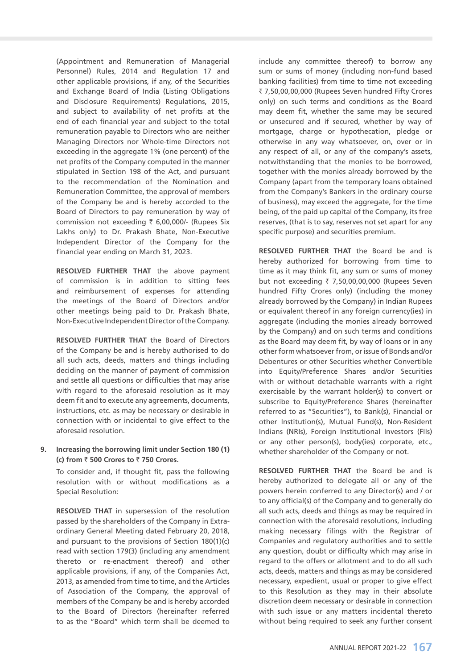(Appointment and Remuneration of Managerial Personnel) Rules, 2014 and Regulation 17 and other applicable provisions, if any, of the Securities and Exchange Board of India (Listing Obligations and Disclosure Requirements) Regulations, 2015, and subject to availability of net profits at the end of each financial year and subject to the total remuneration payable to Directors who are neither Managing Directors nor Whole-time Directors not exceeding in the aggregate 1% (one percent) of the net profits of the Company computed in the manner stipulated in Section 198 of the Act, and pursuant to the recommendation of the Nomination and Remuneration Committee, the approval of members of the Company be and is hereby accorded to the Board of Directors to pay remuneration by way of commission not exceeding  $\bar{\tau}$  6,00,000/- (Rupees Six Lakhs only) to Dr. Prakash Bhate, Non-Executive Independent Director of the Company for the financial year ending on March 31, 2023.

 **RESOLVED FURTHER THAT** the above payment of commission is in addition to sitting fees and reimbursement of expenses for attending the meetings of the Board of Directors and/or other meetings being paid to Dr. Prakash Bhate, Non-Executive Independent Director of the Company.

 **RESOLVED FURTHER THAT** the Board of Directors of the Company be and is hereby authorised to do all such acts, deeds, matters and things including deciding on the manner of payment of commission and settle all questions or difficulties that may arise with regard to the aforesaid resolution as it may deem fit and to execute any agreements, documents, instructions, etc. as may be necessary or desirable in connection with or incidental to give effect to the aforesaid resolution.

# **9. Increasing the borrowing limit under Section 180 (1) (c) from** ` **500 Crores to** ` **750 Crores.**

 To consider and, if thought fit, pass the following resolution with or without modifications as a Special Resolution:

 **RESOLVED THAT** in supersession of the resolution passed by the shareholders of the Company in Extraordinary General Meeting dated February 20, 2018, and pursuant to the provisions of Section 180(1)(c) read with section 179(3) (including any amendment thereto or re-enactment thereof) and other applicable provisions, if any, of the Companies Act, 2013, as amended from time to time, and the Articles of Association of the Company, the approval of members of the Company be and is hereby accorded to the Board of Directors (hereinafter referred to as the "Board" which term shall be deemed to

include any committee thereof) to borrow any sum or sums of money (including non-fund based banking facilities) from time to time not exceeding ` 7,50,00,00,000 (Rupees Seven hundred Fifty Crores only) on such terms and conditions as the Board may deem fit, whether the same may be secured or unsecured and if secured, whether by way of mortgage, charge or hypothecation, pledge or otherwise in any way whatsoever, on, over or in any respect of all, or any of the company's assets, notwithstanding that the monies to be borrowed, together with the monies already borrowed by the Company (apart from the temporary loans obtained from the Company's Bankers in the ordinary course of business), may exceed the aggregate, for the time being, of the paid up capital of the Company, its free reserves, (that is to say, reserves not set apart for any specific purpose) and securities premium.

 **RESOLVED FURTHER THAT** the Board be and is hereby authorized for borrowing from time to time as it may think fit, any sum or sums of money but not exceeding  $\bar{\tau}$  7,50,00,00,000 (Rupees Seven hundred Fifty Crores only) (including the money already borrowed by the Company) in Indian Rupees or equivalent thereof in any foreign currency(ies) in aggregate (including the monies already borrowed by the Company) and on such terms and conditions as the Board may deem fit, by way of loans or in any other form whatsoever from, or issue of Bonds and/or Debentures or other Securities whether Convertible into Equity/Preference Shares and/or Securities with or without detachable warrants with a right exercisable by the warrant holder(s) to convert or subscribe to Equity/Preference Shares (hereinafter referred to as "Securities"), to Bank(s), Financial or other Institution(s), Mutual Fund(s), Non-Resident Indians (NRIs), Foreign Institutional Investors (FIIs) or any other person(s), body(ies) corporate, etc., whether shareholder of the Company or not.

 **RESOLVED FURTHER THAT** the Board be and is hereby authorized to delegate all or any of the powers herein conferred to any Director(s) and / or to any official(s) of the Company and to generally do all such acts, deeds and things as may be required in connection with the aforesaid resolutions, including making necessary filings with the Registrar of Companies and regulatory authorities and to settle any question, doubt or difficulty which may arise in regard to the offers or allotment and to do all such acts, deeds, matters and things as may be considered necessary, expedient, usual or proper to give effect to this Resolution as they may in their absolute discretion deem necessary or desirable in connection with such issue or any matters incidental thereto without being required to seek any further consent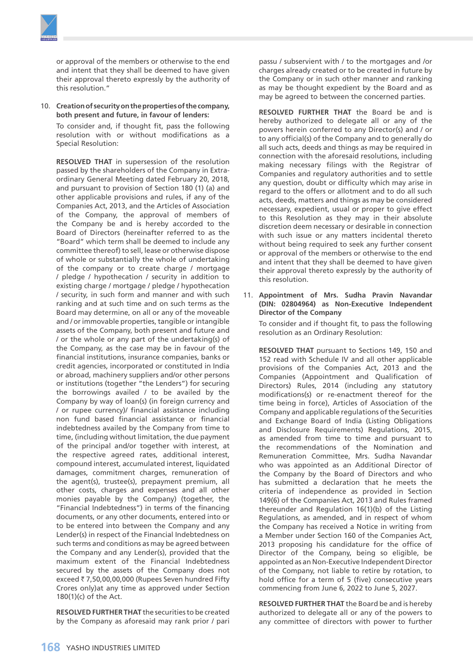or approval of the members or otherwise to the end and intent that they shall be deemed to have given their approval thereto expressly by the authority of this resolution."

10. **Creation of security on the properties of the company, both present and future, in favour of lenders:**

 To consider and, if thought fit, pass the following resolution with or without modifications as a Special Resolution:

 **RESOLVED THAT** in supersession of the resolution passed by the shareholders of the Company in Extraordinary General Meeting dated February 20, 2018, and pursuant to provision of Section 180 (1) (a) and other applicable provisions and rules, if any of the Companies Act, 2013, and the Articles of Association of the Company, the approval of members of the Company be and is hereby accorded to the Board of Directors (hereinafter referred to as the "Board" which term shall be deemed to include any committee thereof) to sell, lease or otherwise dispose of whole or substantially the whole of undertaking of the company or to create charge / mortgage / pledge / hypothecation / security in addition to existing charge / mortgage / pledge / hypothecation / security, in such form and manner and with such ranking and at such time and on such terms as the Board may determine, on all or any of the moveable and / or immovable properties, tangible or intangible assets of the Company, both present and future and / or the whole or any part of the undertaking(s) of the Company, as the case may be in favour of the financial institutions, insurance companies, banks or credit agencies, incorporated or constituted in India or abroad, machinery suppliers and/or other persons or institutions (together "the Lenders") for securing the borrowings availed / to be availed by the Company by way of loan(s) (in foreign currency and / or rupee currency)/ financial assistance including non fund based financial assistance or financial indebtedness availed by the Company from time to time, (including without limitation, the due payment of the principal and/or together with interest, at the respective agreed rates, additional interest, compound interest, accumulated interest, liquidated damages, commitment charges, remuneration of the agent(s), trustee(s), prepayment premium, all other costs, charges and expenses and all other monies payable by the Company) (together, the "Financial Indebtedness") in terms of the financing documents, or any other documents, entered into or to be entered into between the Company and any Lender(s) in respect of the Financial Indebtedness on such terms and conditions as may be agreed between the Company and any Lender(s), provided that the maximum extent of the Financial Indebtedness secured by the assets of the Company does not exceed  $\bar{z}$  7,50,00,00,000 (Rupees Seven hundred Fifty Crores only)at any time as approved under Section 180(1)(c) of the Act.

 **RESOLVED FURTHER THAT** the securities to be created by the Company as aforesaid may rank prior / pari passu / subservient with / to the mortgages and /or charges already created or to be created in future by the Company or in such other manner and ranking as may be thought expedient by the Board and as may be agreed to between the concerned parties.

 **RESOLVED FURTHER THAT** the Board be and is hereby authorized to delegate all or any of the powers herein conferred to any Director(s) and / or to any official(s) of the Company and to generally do all such acts, deeds and things as may be required in connection with the aforesaid resolutions, including making necessary filings with the Registrar of Companies and regulatory authorities and to settle any question, doubt or difficulty which may arise in regard to the offers or allotment and to do all such acts, deeds, matters and things as may be considered necessary, expedient, usual or proper to give effect to this Resolution as they may in their absolute discretion deem necessary or desirable in connection with such issue or any matters incidental thereto without being required to seek any further consent or approval of the members or otherwise to the end and intent that they shall be deemed to have given their approval thereto expressly by the authority of this resolution.

11. **Appointment of Mrs. Sudha Pravin Navandar (DIN: 02804964) as Non-Executive Independent Director of the Company**

 To consider and if thought fit, to pass the following resolution as an Ordinary Resolution:

 **RESOLVED THAT** pursuant to Sections 149, 150 and 152 read with Schedule IV and all other applicable provisions of the Companies Act, 2013 and the Companies (Appointment and Qualification of Directors) Rules, 2014 (including any statutory modifications(s) or re-enactment thereof for the time being in force), Articles of Association of the Company and applicable regulations of the Securities and Exchange Board of India (Listing Obligations and Disclosure Requirements) Regulations, 2015, as amended from time to time and pursuant to the recommendations of the Nomination and Remuneration Committee, Mrs. Sudha Navandar who was appointed as an Additional Director of the Company by the Board of Directors and who has submitted a declaration that he meets the criteria of independence as provided in Section 149(6) of the Companies Act, 2013 and Rules framed thereunder and Regulation 16(1)(b) of the Listing Regulations, as amended, and in respect of whom the Company has received a Notice in writing from a Member under Section 160 of the Companies Act, 2013 proposing his candidature for the office of Director of the Company, being so eligible, be appointed as an Non-Executive Independent Director of the Company, not liable to retire by rotation, to hold office for a term of 5 (five) consecutive years commencing from June 6, 2022 to June 5, 2027.

 **RESOLVED FURTHER THAT** the Board be and is hereby authorized to delegate all or any of the powers to any committee of directors with power to further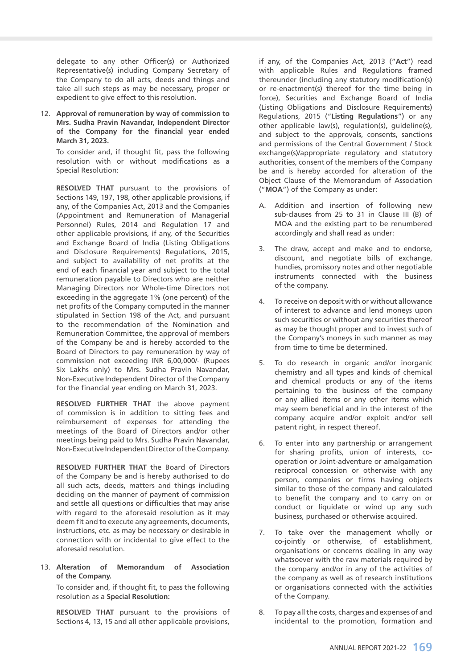delegate to any other Officer(s) or Authorized Representative(s) including Company Secretary of the Company to do all acts, deeds and things and take all such steps as may be necessary, proper or expedient to give effect to this resolution.

12. **Approval of remuneration by way of commission to Mrs. Sudha Pravin Navandar, Independent Director of the Company for the financial year ended March 31, 2023.**

 To consider and, if thought fit, pass the following resolution with or without modifications as a Special Resolution:

 **RESOLVED THAT** pursuant to the provisions of Sections 149, 197, 198, other applicable provisions, if any, of the Companies Act, 2013 and the Companies (Appointment and Remuneration of Managerial Personnel) Rules, 2014 and Regulation 17 and other applicable provisions, if any, of the Securities and Exchange Board of India (Listing Obligations and Disclosure Requirements) Regulations, 2015, and subject to availability of net profits at the end of each financial year and subject to the total remuneration payable to Directors who are neither Managing Directors nor Whole-time Directors not exceeding in the aggregate 1% (one percent) of the net profits of the Company computed in the manner stipulated in Section 198 of the Act, and pursuant to the recommendation of the Nomination and Remuneration Committee, the approval of members of the Company be and is hereby accorded to the Board of Directors to pay remuneration by way of commission not exceeding INR 6,00,000/- (Rupees Six Lakhs only) to Mrs. Sudha Pravin Navandar, Non-Executive Independent Director of the Company for the financial year ending on March 31, 2023.

**RESOLVED FURTHER THAT** the above payment of commission is in addition to sitting fees and reimbursement of expenses for attending the meetings of the Board of Directors and/or other meetings being paid to Mrs. Sudha Pravin Navandar, Non-Executive Independent Director of the Company.

 **RESOLVED FURTHER THAT** the Board of Directors of the Company be and is hereby authorised to do all such acts, deeds, matters and things including deciding on the manner of payment of commission and settle all questions or difficulties that may arise with regard to the aforesaid resolution as it may deem fit and to execute any agreements, documents, instructions, etc. as may be necessary or desirable in connection with or incidental to give effect to the aforesaid resolution.

13. **Alteration of Memorandum of Association of the Company.**

 To consider and, if thought fit, to pass the following resolution as a **Special Resolution:** 

 **RESOLVED THAT** pursuant to the provisions of Sections 4, 13, 15 and all other applicable provisions,

if any, of the Companies Act, 2013 ("**Act**") read with applicable Rules and Regulations framed thereunder (including any statutory modification(s) or re-enactment(s) thereof for the time being in force), Securities and Exchange Board of India (Listing Obligations and Disclosure Requirements) Regulations, 2015 ("**Listing Regulations**") or any other applicable law(s), regulation(s), guideline(s), and subject to the approvals, consents, sanctions and permissions of the Central Government / Stock exchange(s)/appropriate regulatory and statutory authorities, consent of the members of the Company be and is hereby accorded for alteration of the Object Clause of the Memorandum of Association ("**MOA**") of the Company as under:

- A. Addition and insertion of following new sub-clauses from 25 to 31 in Clause III (B) of MOA and the existing part to be renumbered accordingly and shall read as under:
- 3. The draw, accept and make and to endorse, discount, and negotiate bills of exchange, hundies, promissory notes and other negotiable instruments connected with the business of the company.
- 4. To receive on deposit with or without allowance of interest to advance and lend moneys upon such securities or without any securities thereof as may be thought proper and to invest such of the Company's moneys in such manner as may from time to time be determined.
- 5. To do research in organic and/or inorganic chemistry and all types and kinds of chemical and chemical products or any of the items pertaining to the business of the company or any allied items or any other items which may seem beneficial and in the interest of the company acquire and/or exploit and/or sell patent right, in respect thereof.
- 6. To enter into any partnership or arrangement for sharing profits, union of interests, cooperation or Joint-adventure or amalgamation reciprocal concession or otherwise with any person, companies or firms having objects similar to those of the company and calculated to benefit the company and to carry on or conduct or liquidate or wind up any such business, purchased or otherwise acquired.
- 7. To take over the management wholly or co-jointly or otherwise, of establishment, organisations or concerns dealing in any way whatsoever with the raw materials required by the company and/or in any of the activities of the company as well as of research institutions or organisations connected with the activities of the Company.
- 8. To pay all the costs, charges and expenses of and incidental to the promotion, formation and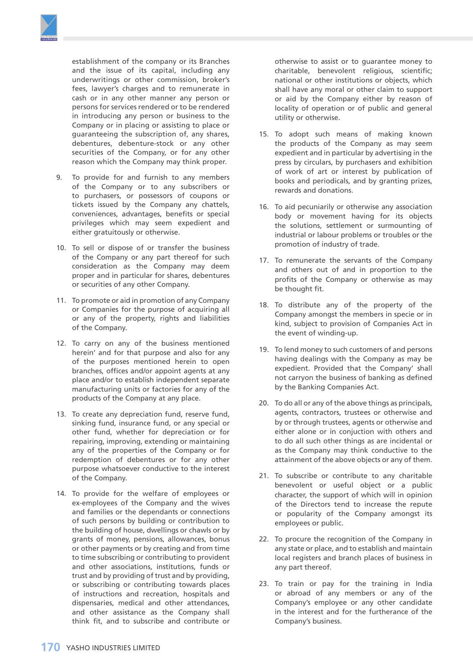

establishment of the company or its Branches and the issue of its capital, including any underwritings or other commission, broker's fees, lawyer's charges and to remunerate in cash or in any other manner any person or persons for services rendered or to be rendered in introducing any person or business to the Company or in placing or assisting to place or guaranteeing the subscription of, any shares, debentures, debenture-stock or any other securities of the Company, or for any other reason which the Company may think proper.

- 9. To provide for and furnish to any members of the Company or to any subscribers or to purchasers, or possessors of coupons or tickets issued by the Company any chattels, conveniences, advantages, benefits or special privileges which may seem expedient and either gratuitously or otherwise.
- 10. To sell or dispose of or transfer the business of the Company or any part thereof for such consideration as the Company may deem proper and in particular for shares, debentures or securities of any other Company.
- 11. To promote or aid in promotion of any Company or Companies for the purpose of acquiring all or any of the property, rights and liabilities of the Company.
- 12. To carry on any of the business mentioned herein' and for that purpose and also for any of the purposes mentioned herein to open branches, offices and/or appoint agents at any place and/or to establish independent separate manufacturing units or factories for any of the products of the Company at any place.
- 13. To create any depreciation fund, reserve fund, sinking fund, insurance fund, or any special or other fund, whether for depreciation or for repairing, improving, extending or maintaining any of the properties of the Company or for redemption of debentures or for any other purpose whatsoever conductive to the interest of the Company.
- 14. To provide for the welfare of employees or ex-employees of the Company and the wives and families or the dependants or connections of such persons by building or contribution to the building of house, dwellings or chawls or by grants of money, pensions, allowances, bonus or other payments or by creating and from time to time subscribing or contributing to provident and other associations, institutions, funds or trust and by providing of trust and by providing, or subscribing or contributing towards places of instructions and recreation, hospitals and dispensaries, medical and other attendances, and other assistance as the Company shall think fit, and to subscribe and contribute or

otherwise to assist or to guarantee money to charitable, benevolent religious, scientific; national or other institutions or objects, which shall have any moral or other claim to support or aid by the Company either by reason of locality of operation or of public and general utility or otherwise.

- 15. To adopt such means of making known the products of the Company as may seem expedient and in particular by advertising in the press by circulars, by purchasers and exhibition of work of art or interest by publication of books and periodicals, and by granting prizes, rewards and donations.
- 16. To aid pecuniarily or otherwise any association body or movement having for its objects the solutions, settlement or surmounting of industrial or labour problems or troubles or the promotion of industry of trade.
- 17. To remunerate the servants of the Company and others out of and in proportion to the profits of the Company or otherwise as may be thought fit.
- 18. To distribute any of the property of the Company amongst the members in specie or in kind, subject to provision of Companies Act in the event of winding-up.
- 19. To lend money to such customers of and persons having dealings with the Company as may be expedient. Provided that the Company' shall not carryon the business of banking as defined by the Banking Companies Act.
- 20. To do all or any of the above things as principals, agents, contractors, trustees or otherwise and by or through trustees, agents or otherwise and either alone or in conjuction with others and to do all such other things as are incidental or as the Company may think conductive to the attainment of the above objects or any of them.
- 21. To subscribe or contribute to any charitable benevolent or useful object or a public character, the support of which will in opinion of the Directors tend to increase the repute or popularity of the Company amongst its employees or public.
- 22. To procure the recognition of the Company in any state or place, and to establish and maintain local registers and branch places of business in any part thereof.
- 23. To train or pay for the training in India or abroad of any members or any of the Company's employee or any other candidate in the interest and for the furtherance of the Company's business.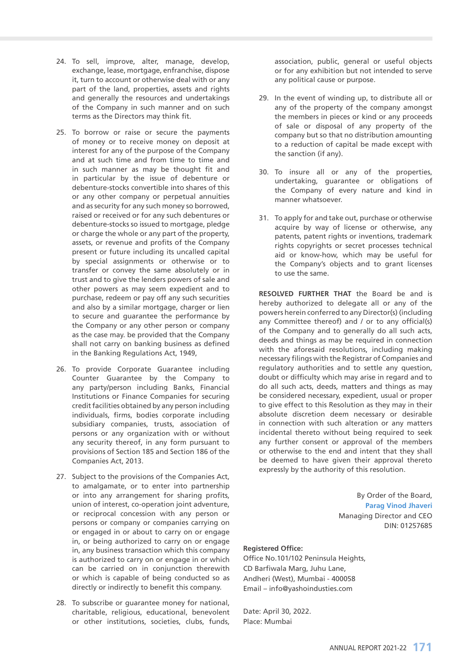- 24. To sell, improve, alter, manage, develop, exchange, lease, mortgage, enfranchise, dispose it, turn to account or otherwise deal with or any part of the land, properties, assets and rights and generally the resources and undertakings of the Company in such manner and on such terms as the Directors may think fit.
- 25. To borrow or raise or secure the payments of money or to receive money on deposit at interest for any of the purpose of the Company and at such time and from time to time and in such manner as may be thought fit and in particular by the issue of debenture or debenture-stocks convertible into shares of this or any other company or perpetual annuities and as security for any such money so borrowed, raised or received or for any such debentures or debenture-stocks so issued to mortgage, pledge or charge the whole or any part of the property, assets, or revenue and profits of the Company present or future including its uncalled capital by special assignments or otherwise or to transfer or convey the same absolutely or in trust and to give the lenders powers of sale and other powers as may seem expedient and to purchase, redeem or pay off any such securities and also by a similar mortgage, charger or lien to secure and guarantee the performance by the Company or any other person or company as the case may. be provided that the Company shall not carry on banking business as defined in the Banking Regulations Act, 1949,
- 26. To provide Corporate Guarantee including Counter Guarantee by the Company to any party/person including Banks, Financial Institutions or Finance Companies for securing credit facilities obtained by any person including individuals, firms, bodies corporate including subsidiary companies, trusts, association of persons or any organization with or without any security thereof, in any form pursuant to provisions of Section 185 and Section 186 of the Companies Act, 2013.
- 27. Subject to the provisions of the Companies Act, to amalgamate, or to enter into partnership or into any arrangement for sharing profits, union of interest, co-operation joint adventure, or reciprocal concession with any person or persons or company or companies carrying on or engaged in or about to carry on or engage in, or being authorized to carry on or engage in, any business transaction which this company is authorized to carry on or engage in or which can be carried on in conjunction therewith or which is capable of being conducted so as directly or indirectly to benefit this company.
- 28. To subscribe or guarantee money for national, charitable, religious, educational, benevolent or other institutions, societies, clubs, funds,

association, public, general or useful objects or for any exhibition but not intended to serve any political cause or purpose.

- 29. In the event of winding up, to distribute all or any of the property of the company amongst the members in pieces or kind or any proceeds of sale or disposal of any property of the company but so that no distribution amounting to a reduction of capital be made except with the sanction (if any).
- 30. To insure all or any of the properties, undertaking, guarantee or obligations of the Company of every nature and kind in manner whatsoever.
- 31. To apply for and take out, purchase or otherwise acquire by way of license or otherwise, any patents, patent rights or inventions, trademark rights copyrights or secret processes technical aid or know-how, which may be useful for the Company's objects and to grant licenses to use the same.

**RESOLVED FURTHER THAT** the Board be and is hereby authorized to delegate all or any of the powers herein conferred to any Director(s) (including any Committee thereof) and / or to any official(s) of the Company and to generally do all such acts, deeds and things as may be required in connection with the aforesaid resolutions, including making necessary filings with the Registrar of Companies and regulatory authorities and to settle any question, doubt or difficulty which may arise in regard and to do all such acts, deeds, matters and things as may be considered necessary, expedient, usual or proper to give effect to this Resolution as they may in their absolute discretion deem necessary or desirable in connection with such alteration or any matters incidental thereto without being required to seek any further consent or approval of the members or otherwise to the end and intent that they shall be deemed to have given their approval thereto expressly by the authority of this resolution.

> By Order of the Board, **Parag Vinod Jhaveri** Managing Director and CEO DIN: 01257685

## **Registered Office:**

Office No.101/102 Peninsula Heights, CD Barfiwala Marg, Juhu Lane, Andheri (West), Mumbai - 400058 Email – info@yashoindusties.com

Date: April 30, 2022. Place: Mumbai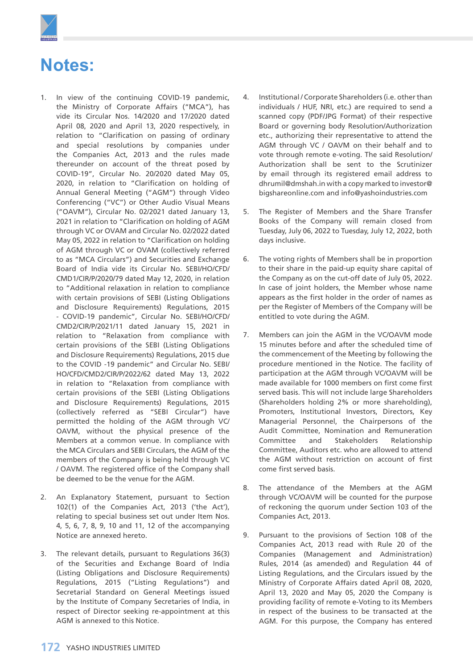

# **Notes:**

- 1. In view of the continuing COVID-19 pandemic, the Ministry of Corporate Affairs ("MCA"), has vide its Circular Nos. 14/2020 and 17/2020 dated April 08, 2020 and April 13, 2020 respectively, in relation to "Clarification on passing of ordinary and special resolutions by companies under the Companies Act, 2013 and the rules made thereunder on account of the threat posed by COVID-19", Circular No. 20/2020 dated May 05, 2020, in relation to "Clarification on holding of Annual General Meeting ("AGM") through Video Conferencing ("VC") or Other Audio Visual Means ("OAVM"), Circular No. 02/2021 dated January 13, 2021 in relation to "Clarification on holding of AGM through VC or OVAM and Circular No. 02/2022 dated May 05, 2022 in relation to "Clarification on holding of AGM through VC or OVAM (collectively referred to as "MCA Circulars") and Securities and Exchange Board of India vide its Circular No. SEBI/HO/CFD/ CMD1/CIR/P/2020/79 dated May 12, 2020, in relation to "Additional relaxation in relation to compliance with certain provisions of SEBI (Listing Obligations and Disclosure Requirements) Regulations, 2015 - COVID-19 pandemic", Circular No. SEBI/HO/CFD/ CMD2/CIR/P/2021/11 dated January 15, 2021 in relation to "Relaxation from compliance with certain provisions of the SEBI (Listing Obligations and Disclosure Requirements) Regulations, 2015 due to the COVID -19 pandemic" and Circular No. SEBI/ HO/CFD/CMD2/CIR/P/2022/62 dated May 13, 2022 in relation to "Relaxation from compliance with certain provisions of the SEBI (Listing Obligations and Disclosure Requirements) Regulations, 2015 (collectively referred as "SEBI Circular") have permitted the holding of the AGM through VC/ OAVM, without the physical presence of the Members at a common venue. In compliance with the MCA Circulars and SEBI Circulars, the AGM of the members of the Company is being held through VC / OAVM. The registered office of the Company shall be deemed to be the venue for the AGM.
- 2. An Explanatory Statement, pursuant to Section 102(1) of the Companies Act, 2013 ('the Act'), relating to special business set out under Item Nos. 4, 5, 6, 7, 8, 9, 10 and 11, 12 of the accompanying Notice are annexed hereto.
- 3. The relevant details, pursuant to Regulations 36(3) of the Securities and Exchange Board of India (Listing Obligations and Disclosure Requirements) Regulations, 2015 ("Listing Regulations") and Secretarial Standard on General Meetings issued by the Institute of Company Secretaries of India, in respect of Director seeking re-appointment at this AGM is annexed to this Notice.
- 4. Institutional / Corporate Shareholders (i.e. other than individuals / HUF, NRI, etc.) are required to send a scanned copy (PDF/JPG Format) of their respective Board or governing body Resolution/Authorization etc., authorizing their representative to attend the AGM through VC / OAVM on their behalf and to vote through remote e-voting. The said Resolution/ Authorization shall be sent to the Scrutinizer by email through its registered email address to [dhrumil@dmshah.in](mailto:dhrumil@dmshah.in) with a copy marked to [investor@](mailto:investor@bigshareonline.com) [bigshareonline.com](mailto:investor@bigshareonline.com) and [info@yashoindustries.com](mailto:info@yashoindustries.com)
- 5. The Register of Members and the Share Transfer Books of the Company will remain closed from Tuesday, July 06, 2022 to Tuesday, July 12, 2022, both days inclusive.
- 6. The voting rights of Members shall be in proportion to their share in the paid-up equity share capital of the Company as on the cut-off date of July 05, 2022. In case of joint holders, the Member whose name appears as the first holder in the order of names as per the Register of Members of the Company will be entitled to vote during the AGM.
- 7. Members can join the AGM in the VC/OAVM mode 15 minutes before and after the scheduled time of the commencement of the Meeting by following the procedure mentioned in the Notice. The facility of participation at the AGM through VC/OAVM will be made available for 1000 members on first come first served basis. This will not include large Shareholders (Shareholders holding 2% or more shareholding), Promoters, Institutional Investors, Directors, Key Managerial Personnel, the Chairpersons of the Audit Committee, Nomination and Remuneration Committee and Stakeholders Relationship Committee, Auditors etc. who are allowed to attend the AGM without restriction on account of first come first served basis.
- 8. The attendance of the Members at the AGM through VC/OAVM will be counted for the purpose of reckoning the quorum under Section 103 of the Companies Act, 2013.
- 9. Pursuant to the provisions of Section 108 of the Companies Act, 2013 read with Rule 20 of the Companies (Management and Administration) Rules, 2014 (as amended) and Regulation 44 of Listing Regulations, and the Circulars issued by the Ministry of Corporate Affairs dated April 08, 2020, April 13, 2020 and May 05, 2020 the Company is providing facility of remote e-Voting to its Members in respect of the business to be transacted at the AGM. For this purpose, the Company has entered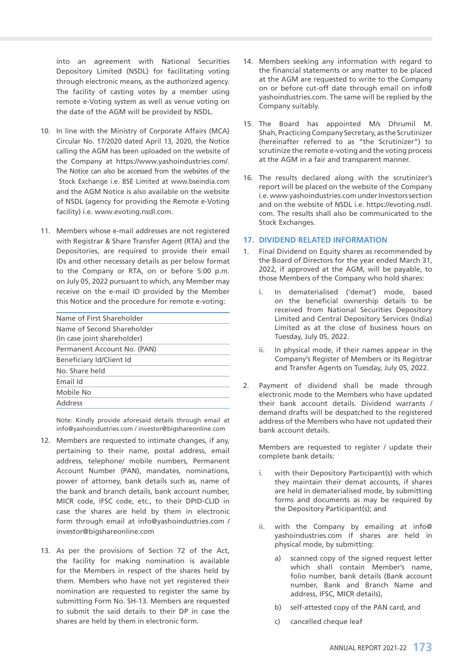into an agreement with National Securities Depository Limited (NSDL) for facilitating voting through electronic means, as the authorized agency. The facility of casting votes by a member using remote e-Voting system as well as venue voting on the date of the AGM will be provided by NSDL.

- 10. In line with the Ministry of Corporate Affairs (MCA) Circular No. 17/2020 dated April 13, 2020, the Notice calling the AGM has been uploaded on the website of the Company at https://www.yashoindustries.com/. The Notice can also be accessed from the websites of the Stock Exchange i.e. BSE Limited at www.bseindia.com and the AGM Notice is also available on the website of NSDL (agency for providing the Remote e-Voting facility) i.e. www.evoting.nsdl.com.
- 11. Members whose e-mail addresses are not registered with Registrar & Share Transfer Agent (RTA) and the Depositories, are required to provide their email IDs and other necessary details as per below format to the Company or RTA, on or before 5:00 p.m. on July 05, 2022 pursuant to which, any Member may receive on the e-mail ID provided by the Member this Notice and the procedure for remote e-voting:

| Name of First Shareholder                                 |
|-----------------------------------------------------------|
| Name of Second Shareholder<br>(In case joint shareholder) |
| Permanent Account No. (PAN)                               |
| Beneficiary Id/Client Id                                  |
| No. Share held                                            |
| Email Id                                                  |
| Mobile No                                                 |
| Address                                                   |
|                                                           |

 Note: Kindly provide aforesaid details through email at [info@yashoindustries.com](mailto:info@yashoindustries.com) / [investor@bigshareonline.com](mailto:investor@bigshareonline.com)

- 12. Members are requested to intimate changes, if any, pertaining to their name, postal address, email address, telephone/ mobile numbers, Permanent Account Number (PAN), mandates, nominations, power of attorney, bank details such as, name of the bank and branch details, bank account number, MICR code, IFSC code, etc., to their DPID-CLID in case the shares are held by them in electronic form through email at [info@yashoindustries.com](mailto:info@yashoindustries.com) / [investor@bigshareonline.com](mailto:investor@bigshareonline.com)
- 13. As per the provisions of Section 72 of the Act, the facility for making nomination is available for the Members in respect of the shares held by them. Members who have not yet registered their nomination are requested to register the same by submitting Form No. SH-13. Members are requested to submit the said details to their DP in case the shares are held by them in electronic form.
- 14. Members seeking any information with regard to the financial statements or any matter to be placed at the AGM are requested to write to the Company on or before cut-off date through email on [info@](mailto:info@yashoindustries.com) [yashoindustries.com](mailto:info@yashoindustries.com). The same will be replied by the Company suitably.
- 15. The Board has appointed M/s Dhrumil M. Shah, Practicing Company Secretary, as the Scrutinizer (hereinafter referred to as "the Scrutinizer") to scrutinize the remote e-voting and the voting process at the AGM in a fair and transparent manner.
- 16. The results declared along with the scrutinizer's report will be placed on the website of the Company i.e. www.yashoindustries.com under Investors section and on the website of NSDL i.e. https://evoting.nsdl. com. The results shall also be communicated to the Stock Exchanges.

# **17. DIVIDEND RELATED INFORMATION**

- 1. Final Dividend on Equity shares as recommended by the Board of Directors for the year ended March 31, 2022, if approved at the AGM, will be payable, to those Members of the Company who hold shares:
	- i. In dematerialised ('demat') mode, based on the beneficial ownership details to be received from National Securities Depository Limited and Central Depository Services (India) Limited as at the close of business hours on Tuesday, July 05, 2022.
	- ii. In physical mode, if their names appear in the Company's Register of Members or its Registrar and Transfer Agents on Tuesday, July 05, 2022.
- 2. Payment of dividend shall be made through electronic mode to the Members who have updated their bank account details. Dividend warrants / demand drafts will be despatched to the registered address of the Members who have not updated their bank account details.

 Members are requested to register / update their complete bank details:

- i. with their Depository Participant(s) with which they maintain their demat accounts, if shares are held in dematerialised mode, by submitting forms and documents as may be required by the Depository Participant(s); and
- ii. with the Company by emailing at [info@](mailto:info@yashoindustries.com) [yashoindustries.com](mailto:info@yashoindustries.com) if shares are held in physical mode, by submitting:
	- a) scanned copy of the signed request letter which shall contain Member's name, folio number, bank details (Bank account number, Bank and Branch Name and address, IFSC, MICR details),
	- b) self-attested copy of the PAN card, and
	- c) cancelled cheque leaf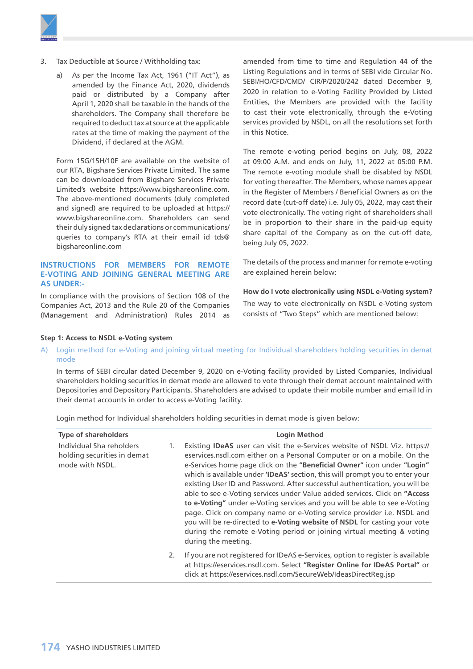

- 3. Tax Deductible at Source / Withholding tax:
	- a) As per the Income Tax Act, 1961 ("IT Act"), as amended by the Finance Act, 2020, dividends paid or distributed by a Company after April 1, 2020 shall be taxable in the hands of the shareholders. The Company shall therefore be required to deduct tax at source at the applicable rates at the time of making the payment of the Dividend, if declared at the AGM.

 Form 15G/15H/10F are available on the website of our RTA, Bigshare Services Private Limited. The same can be downloaded from Bigshare Services Private Limited's website https://www.bigshareonline.com. The above-mentioned documents (duly completed and signed) are required to be uploaded at https:// www.bigshareonline.com. Shareholders can send their duly signed tax declarations or communications/ queries to company's RTA at their email id [tds@](mailto:tds@bigshareonline.com) [bigshareonline.com](mailto:tds@bigshareonline.com)

# **INSTRUCTIONS FOR MEMBERS FOR REMOTE E-VOTING AND JOINING GENERAL MEETING ARE AS UNDER:-**

In compliance with the provisions of Section 108 of the Companies Act, 2013 and the Rule 20 of the Companies (Management and Administration) Rules 2014 as

amended from time to time and Regulation 44 of the Listing Regulations and in terms of SEBI vide Circular No. SEBI/HO/CFD/CMD/ CIR/P/2020/242 dated December 9, 2020 in relation to e-Voting Facility Provided by Listed Entities, the Members are provided with the facility to cast their vote electronically, through the e-Voting services provided by NSDL, on all the resolutions set forth in this Notice.

The remote e-voting period begins on July, 08, 2022 at 09:00 A.M. and ends on July, 11, 2022 at 05:00 P.M. The remote e-voting module shall be disabled by NSDL for voting thereafter. The Members, whose names appear in the Register of Members / Beneficial Owners as on the record date (cut-off date) i.e. July 05, 2022, may cast their vote electronically. The voting right of shareholders shall be in proportion to their share in the paid-up equity share capital of the Company as on the cut-off date, being July 05, 2022.

The details of the process and manner for remote e-voting are explained herein below:

**How do I vote electronically using NSDL e-Voting system?**

The way to vote electronically on NSDL e-Voting system consists of "Two Steps" which are mentioned below:

# **Step 1: Access to NSDL e-Voting system**

A) Login method for e-Voting and joining virtual meeting for Individual shareholders holding securities in demat mode

 In terms of SEBI circular dated December 9, 2020 on e-Voting facility provided by Listed Companies, Individual shareholders holding securities in demat mode are allowed to vote through their demat account maintained with Depositories and Depository Participants. Shareholders are advised to update their mobile number and email Id in their demat accounts in order to access e-Voting facility.

Login method for Individual shareholders holding securities in demat mode is given below:

| <b>Type of shareholders</b>                                                |    | <b>Login Method</b>                                                                                                                                                                                                                                                                                                                                                                                                                                                                                                                                                                                                                                                                                                                                                                                                       |  |  |
|----------------------------------------------------------------------------|----|---------------------------------------------------------------------------------------------------------------------------------------------------------------------------------------------------------------------------------------------------------------------------------------------------------------------------------------------------------------------------------------------------------------------------------------------------------------------------------------------------------------------------------------------------------------------------------------------------------------------------------------------------------------------------------------------------------------------------------------------------------------------------------------------------------------------------|--|--|
| Individual Sha reholders<br>holding securities in demat<br>mode with NSDL. | 1. | Existing IDeAS user can visit the e-Services website of NSDL Viz. https://<br>eservices.nsdl.com either on a Personal Computer or on a mobile. On the<br>e-Services home page click on the "Beneficial Owner" icon under "Login"<br>which is available under <b>'IDeAS'</b> section, this will prompt you to enter your<br>existing User ID and Password. After successful authentication, you will be<br>able to see e-Voting services under Value added services. Click on "Access"<br>to e-Voting" under e-Voting services and you will be able to see e-Voting<br>page. Click on company name or e-Voting service provider i.e. NSDL and<br>you will be re-directed to e-Voting website of NSDL for casting your vote<br>during the remote e-Voting period or joining virtual meeting & voting<br>during the meeting. |  |  |
|                                                                            | 2. | If you are not registered for IDeAS e-Services, option to register is available<br>at https://eservices.nsdl.com. Select "Register Online for IDeAS Portal" or<br>click at https://eservices.nsdl.com/SecureWeb/IdeasDirectReq.jsp                                                                                                                                                                                                                                                                                                                                                                                                                                                                                                                                                                                        |  |  |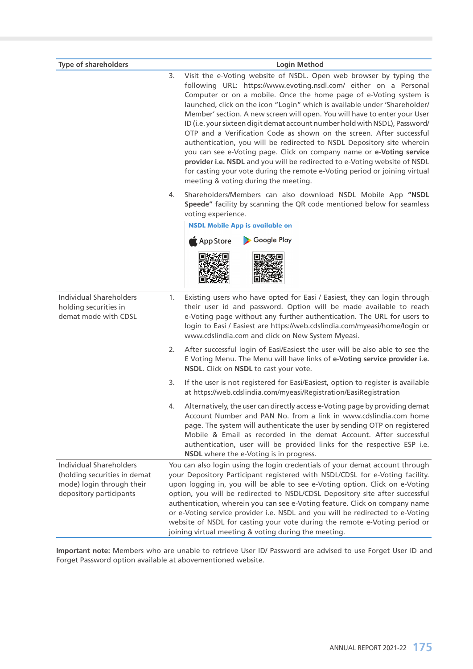| <b>Type of shareholders</b>                                                                                            | <b>Login Method</b>                                                                                                                                                                                                                                                                                                                                                                                                                                                                                                                                                                                                                                                                                                                                                                                                                                                                       |  |  |  |
|------------------------------------------------------------------------------------------------------------------------|-------------------------------------------------------------------------------------------------------------------------------------------------------------------------------------------------------------------------------------------------------------------------------------------------------------------------------------------------------------------------------------------------------------------------------------------------------------------------------------------------------------------------------------------------------------------------------------------------------------------------------------------------------------------------------------------------------------------------------------------------------------------------------------------------------------------------------------------------------------------------------------------|--|--|--|
|                                                                                                                        | Visit the e-Voting website of NSDL. Open web browser by typing the<br>3.<br>following URL: https://www.evoting.nsdl.com/ either on a Personal<br>Computer or on a mobile. Once the home page of e-Voting system is<br>launched, click on the icon "Login" which is available under 'Shareholder/<br>Member' section. A new screen will open. You will have to enter your User<br>ID (i.e. your sixteen digit demat account number hold with NSDL), Password/<br>OTP and a Verification Code as shown on the screen. After successful<br>authentication, you will be redirected to NSDL Depository site wherein<br>you can see e-Voting page. Click on company name or e-Voting service<br>provider i.e. NSDL and you will be redirected to e-Voting website of NSDL<br>for casting your vote during the remote e-Voting period or joining virtual<br>meeting & voting during the meeting. |  |  |  |
|                                                                                                                        | Shareholders/Members can also download NSDL Mobile App "NSDL<br>4.<br>Speede" facility by scanning the QR code mentioned below for seamless<br>voting experience.<br><b>NSDL Mobile App is available on</b><br>Google Play<br>App Store                                                                                                                                                                                                                                                                                                                                                                                                                                                                                                                                                                                                                                                   |  |  |  |
| <b>Individual Shareholders</b><br>holding securities in<br>demat mode with CDSL                                        | 1.<br>Existing users who have opted for Easi / Easiest, they can login through<br>their user id and password. Option will be made available to reach<br>e-Voting page without any further authentication. The URL for users to<br>login to Easi / Easiest are https://web.cdslindia.com/myeasi/home/login or<br>www.cdslindia.com and click on New System Myeasi.                                                                                                                                                                                                                                                                                                                                                                                                                                                                                                                         |  |  |  |
|                                                                                                                        | After successful login of Easi/Easiest the user will be also able to see the<br>2.<br>E Voting Menu. The Menu will have links of e-Voting service provider i.e.<br>NSDL. Click on NSDL to cast your vote.                                                                                                                                                                                                                                                                                                                                                                                                                                                                                                                                                                                                                                                                                 |  |  |  |
|                                                                                                                        | If the user is not registered for Easi/Easiest, option to register is available<br>3.<br>at https://web.cdslindia.com/myeasi/Registration/EasiRegistration                                                                                                                                                                                                                                                                                                                                                                                                                                                                                                                                                                                                                                                                                                                                |  |  |  |
|                                                                                                                        | Alternatively, the user can directly access e-Voting page by providing demat<br>4.<br>Account Number and PAN No. from a link in www.cdslindia.com home<br>page. The system will authenticate the user by sending OTP on registered<br>Mobile & Email as recorded in the demat Account. After successful<br>authentication, user will be provided links for the respective ESP i.e.<br>NSDL where the e-Voting is in progress.                                                                                                                                                                                                                                                                                                                                                                                                                                                             |  |  |  |
| <b>Individual Shareholders</b><br>(holding securities in demat<br>mode) login through their<br>depository participants | You can also login using the login credentials of your demat account through<br>your Depository Participant registered with NSDL/CDSL for e-Voting facility.<br>upon logging in, you will be able to see e-Voting option. Click on e-Voting<br>option, you will be redirected to NSDL/CDSL Depository site after successful<br>authentication, wherein you can see e-Voting feature. Click on company name<br>or e-Voting service provider i.e. NSDL and you will be redirected to e-Voting<br>website of NSDL for casting your vote during the remote e-Voting period or<br>joining virtual meeting & voting during the meeting.                                                                                                                                                                                                                                                         |  |  |  |

**Important note:** Members who are unable to retrieve User ID/ Password are advised to use Forget User ID and Forget Password option available at abovementioned website.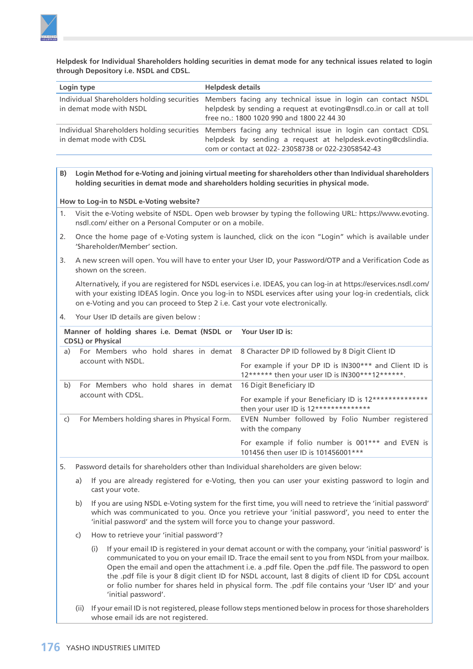

 **Helpdesk for Individual Shareholders holding securities in demat mode for any technical issues related to login through Depository i.e. NSDL and CDSL.**

| Login type              | <b>Helpdesk details</b>                                                                                                                                                                                                      |
|-------------------------|------------------------------------------------------------------------------------------------------------------------------------------------------------------------------------------------------------------------------|
| in demat mode with NSDL | Individual Shareholders holding securities Members facing any technical issue in login can contact NSDL<br>helpdesk by sending a request at evoting@nsdl.co.in or call at toll<br>free no.: 1800 1020 990 and 1800 22 44 30  |
| in demat mode with CDSL | Individual Shareholders holding securities Members facing any technical issue in login can contact CDSL<br>helpdesk by sending a request at helpdesk.evoting@cdslindia.<br>com or contact at 022-23058738 or 022-23058542-43 |

**B) Login Method for e-Voting and joining virtual meeting for shareholders other than Individual shareholders holding securities in demat mode and shareholders holding securities in physical mode.**

**How to Log-in to NSDL e-Voting website?**

- 1. Visit the e-Voting website of NSDL. Open web browser by typing the following URL: [https://www.evoting.](https://www.evoting.nsdl.com/) [nsdl.com/](https://www.evoting.nsdl.com/) either on a Personal Computer or on a mobile.
- 2. Once the home page of e-Voting system is launched, click on the icon "Login" which is available under 'Shareholder/Member' section.
- 3. A new screen will open. You will have to enter your User ID, your Password/OTP and a Verification Code as shown on the screen.

 Alternatively, if you are registered for NSDL eservices i.e. IDEAS, you can log-in at <https://eservices.nsdl.com/> with your existing IDEAS login. Once you log-in to NSDL eservices after using your log-in credentials, click on e-Voting and you can proceed to Step 2 i.e. Cast your vote electronically.

4. Your User ID details are given below :

|                                                    | Manner of holding shares i.e. Demat (NSDL or Your User ID is:<br><b>CDSL</b> ) or Physical |                                                                                                                                                              |
|----------------------------------------------------|--------------------------------------------------------------------------------------------|--------------------------------------------------------------------------------------------------------------------------------------------------------------|
| a)                                                 | For Members who hold shares in demat<br>account with NSDL.                                 | 8 Character DP ID followed by 8 Digit Client ID<br>For example if your DP ID is IN300*** and Client ID is<br>12****** then your user ID is IN300***12******. |
| b)                                                 | For Members who hold shares in demat<br>account with CDSL.                                 | 16 Digit Beneficiary ID<br>For example if your Beneficiary ID is 12**************<br>then your user ID is 12**************                                   |
| For Members holding shares in Physical Form.<br>C) |                                                                                            | EVEN Number followed by Folio Number registered<br>with the company                                                                                          |
|                                                    |                                                                                            | For example if folio number is 001*** and EVEN is<br>101456 then user ID is 101456001***                                                                     |

- 5. Password details for shareholders other than Individual shareholders are given below:
	- a) If you are already registered for e-Voting, then you can user your existing password to login and cast your vote.
	- b) If you are using NSDL e-Voting system for the first time, you will need to retrieve the 'initial password' which was communicated to you. Once you retrieve your 'initial password', you need to enter the 'initial password' and the system will force you to change your password.
	- c) How to retrieve your 'initial password'?
		- (i) If your email ID is registered in your demat account or with the company, your 'initial password' is communicated to you on your email ID. Trace the email sent to you from NSDL from your mailbox. Open the email and open the attachment i.e. a .pdf file. Open the .pdf file. The password to open the .pdf file is your 8 digit client ID for NSDL account, last 8 digits of client ID for CDSL account or folio number for shares held in physical form. The .pdf file contains your 'User ID' and your 'initial password'.
	- (ii) If your email ID is not registered, please follow steps mentioned below in process for those shareholders whose email ids are not registered.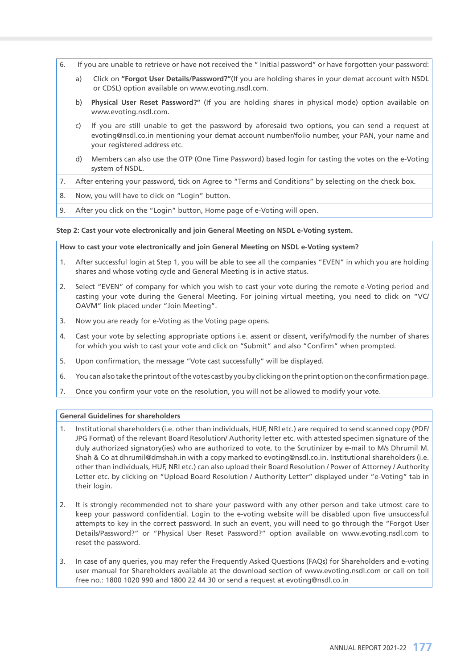- 6. If you are unable to retrieve or have not received the " Initial password" or have forgotten your password:
	- a) Click on **["Forgot User Details/Password?"](https://www.evoting.nsdl.com/eVotingWeb/commonhtmls/NewUser.jsp)**(If you are holding shares in your demat account with NSDL or CDSL) option available on www.evoting.nsdl.com.
	- b) **[Physical User Reset Password?](https://www.evoting.nsdl.com/eVotingWeb/commonhtmls/PhysicalUser.jsp)"** (If you are holding shares in physical mode) option available on [www.evoting.nsdl.com.](http://www.evoting.nsdl.com)
	- c) If you are still unable to get the password by aforesaid two options, you can send a request at [evoting@nsdl.co.in](mailto:evoting@nsdl.co.in) mentioning your demat account number/folio number, your PAN, your name and your registered address etc.
	- d) Members can also use the OTP (One Time Password) based login for casting the votes on the e-Voting system of NSDL.
- 7. After entering your password, tick on Agree to "Terms and Conditions" by selecting on the check box.
- 8. Now, you will have to click on "Login" button.
- 9. After you click on the "Login" button, Home page of e-Voting will open.

#### **Step 2: Cast your vote electronically and join General Meeting on NSDL e-Voting system.**

**How to cast your vote electronically and join General Meeting on NSDL e-Voting system?**

- 1. After successful login at Step 1, you will be able to see all the companies "EVEN" in which you are holding shares and whose voting cycle and General Meeting is in active status.
- 2. Select "EVEN" of company for which you wish to cast your vote during the remote e-Voting period and casting your vote during the General Meeting. For joining virtual meeting, you need to click on "VC/ OAVM" link placed under "Join Meeting".
- 3. Now you are ready for e-Voting as the Voting page opens.
- 4. Cast your vote by selecting appropriate options i.e. assent or dissent, verify/modify the number of shares for which you wish to cast your vote and click on "Submit" and also "Confirm" when prompted.
- 5. Upon confirmation, the message "Vote cast successfully" will be displayed.
- 6. You can also take the printout of the votes cast by you by clicking on the print option on the confirmation page.
- 7. Once you confirm your vote on the resolution, you will not be allowed to modify your vote.

### **General Guidelines for shareholders**

- 1. Institutional shareholders (i.e. other than individuals, HUF, NRI etc.) are required to send scanned copy (PDF/ JPG Format) of the relevant Board Resolution/ Authority letter etc. with attested specimen signature of the duly authorized signatory(ies) who are authorized to vote, to the Scrutinizer by e-mail to M/s Dhrumil M. Shah & Co at [dhrumil@dmshah.in](mailto:dhrumil@dmshah.in) with a copy marked to [evoting@nsdl.co.in.](mailto:evoting@nsdl.co.in) Institutional shareholders (i.e. other than individuals, HUF, NRI etc.) can also upload their Board Resolution / Power of Attorney / Authority Letter etc. by clicking on "Upload Board Resolution / Authority Letter" displayed under "e-Voting" tab in their login.
- 2. It is strongly recommended not to share your password with any other person and take utmost care to keep your password confidential. Login to the e-voting website will be disabled upon five unsuccessful attempts to key in the correct password. In such an event, you will need to go through the "[Forgot User](https://www.evoting.nsdl.com/eVotingWeb/commonhtmls/NewUser.jsp) [Details/Password?"](https://www.evoting.nsdl.com/eVotingWeb/commonhtmls/NewUser.jsp) or ["Physical User Reset Password?"](https://www.evoting.nsdl.com/eVotingWeb/commonhtmls/PhysicalUser.jsp) option available on www.evoting.nsdl.com to reset the password.
- 3. In case of any queries, you may refer the Frequently Asked Questions (FAQs) for Shareholders and e-voting user manual for Shareholders available at the download section of [www.evoting.nsdl.com](http://www.evoting.nsdl.com) or call on toll free no.: 1800 1020 990 and 1800 22 44 30 or send a request at [evoting@nsdl.co.in](mailto:evoting@nsdl.co.in)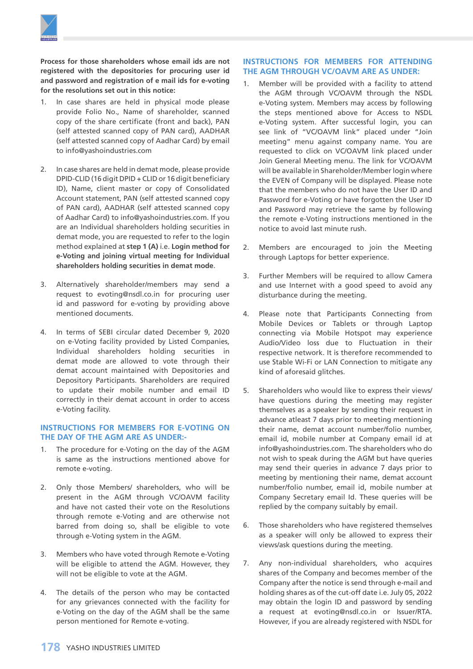

**Process for those shareholders whose email ids are not registered with the depositories for procuring user id and password and registration of e mail ids for e-voting for the resolutions set out in this notice:**

- 1. In case shares are held in physical mode please provide Folio No., Name of shareholder, scanned copy of the share certificate (front and back), PAN (self attested scanned copy of PAN card), AADHAR (self attested scanned copy of Aadhar Card) by email to [info@yashoindustries.com](mailto:info@yashoindustries.com)
- 2. In case shares are held in demat mode, please provide DPID-CLID (16 digit DPID + CLID or 16 digit beneficiary ID), Name, client master or copy of Consolidated Account statement, PAN (self attested scanned copy of PAN card), AADHAR (self attested scanned copy of Aadhar Card) to [info@yashoindustries.com](mailto:info@yashoindustries.com). If you are an Individual shareholders holding securities in demat mode, you are requested to refer to the login method explained at **step 1 (A)** i.e. **Login method for e-Voting and joining virtual meeting for Individual shareholders holding securities in demat mode**.
- 3. Alternatively shareholder/members may send a request to [evoting@nsdl.co.in](mailto:evoting@nsdl.co.in) for procuring user id and password for e-voting by providing above mentioned documents.
- 4. In terms of SEBI circular dated December 9, 2020 on e-Voting facility provided by Listed Companies, Individual shareholders holding securities in demat mode are allowed to vote through their demat account maintained with Depositories and Depository Participants. Shareholders are required to update their mobile number and email ID correctly in their demat account in order to access e-Voting facility.

# **INSTRUCTIONS FOR MEMBERS FOR E-VOTING ON THE DAY OF THE AGM ARE AS UNDER:-**

- 1. The procedure for e-Voting on the day of the AGM is same as the instructions mentioned above for remote e-voting.
- 2. Only those Members/ shareholders, who will be present in the AGM through VC/OAVM facility and have not casted their vote on the Resolutions through remote e-Voting and are otherwise not barred from doing so, shall be eligible to vote through e-Voting system in the AGM.
- 3. Members who have voted through Remote e-Voting will be eligible to attend the AGM. However, they will not be eligible to vote at the AGM.
- 4. The details of the person who may be contacted for any grievances connected with the facility for e-Voting on the day of the AGM shall be the same person mentioned for Remote e-voting.

# **INSTRUCTIONS FOR MEMBERS FOR ATTENDING THE AGM THROUGH VC/OAVM ARE AS UNDER:**

- 1. Member will be provided with a facility to attend the AGM through VC/OAVM through the NSDL e-Voting system. Members may access by following the steps mentioned above for Access to NSDL e-Voting system. After successful login, you can see link of "VC/OAVM link" placed under "Join meeting" menu against company name. You are requested to click on VC/OAVM link placed under Join General Meeting menu. The link for VC/OAVM will be available in Shareholder/Member login where the EVEN of Company will be displayed. Please note that the members who do not have the User ID and Password for e-Voting or have forgotten the User ID and Password may retrieve the same by following the remote e-Voting instructions mentioned in the notice to avoid last minute rush.
- 2. Members are encouraged to join the Meeting through Laptops for better experience.
- 3. Further Members will be required to allow Camera and use Internet with a good speed to avoid any disturbance during the meeting.
- 4. Please note that Participants Connecting from Mobile Devices or Tablets or through Laptop connecting via Mobile Hotspot may experience Audio/Video loss due to Fluctuation in their respective network. It is therefore recommended to use Stable Wi-Fi or LAN Connection to mitigate any kind of aforesaid glitches.
- 5. Shareholders who would like to express their views/ have questions during the meeting may register themselves as a speaker by sending their request in advance atleast 7 days prior to meeting mentioning their name, demat account number/folio number, email id, mobile number at Company email id at [info@yashoindustries.com.](mailto:info@yashoindustries.com) The shareholders who do not wish to speak during the AGM but have queries may send their queries in advance 7 days prior to meeting by mentioning their name, demat account number/folio number, email id, mobile number at Company Secretary email Id. These queries will be replied by the company suitably by email.
- 6. Those shareholders who have registered themselves as a speaker will only be allowed to express their views/ask questions during the meeting.
- 7. Any non-individual shareholders, who acquires shares of the Company and becomes member of the Company after the notice is send through e-mail and holding shares as of the cut-off date i.e. July 05, 2022 may obtain the login ID and password by sending a request at evoting@nsdl.co.in or Issuer/RTA. However, if you are already registered with NSDL for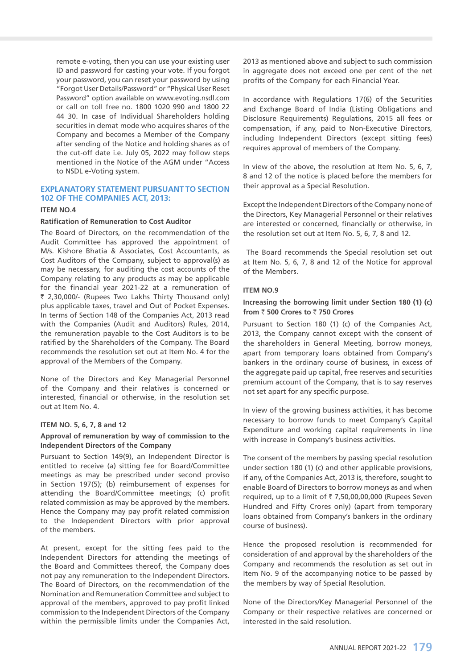remote e-voting, then you can use your existing user ID and password for casting your vote. If you forgot your password, you can reset your password by using "Forgot User Details/Password" or "Physical User Reset Password" option available on www.evoting.nsdl.com or call on toll free no. 1800 1020 990 and 1800 22 44 30. In case of Individual Shareholders holding securities in demat mode who acquires shares of the Company and becomes a Member of the Company after sending of the Notice and holding shares as of the cut-off date i.e. July 05, 2022 may follow steps mentioned in the Notice of the AGM under "Access to NSDL e-Voting system.

## **EXPLANATORY STATEMENT PURSUANT TO SECTION 102 OF THE COMPANIES ACT, 2013:**

#### **ITEM NO.4**

### **Ratification of Remuneration to Cost Auditor**

The Board of Directors, on the recommendation of the Audit Committee has approved the appointment of M/s. Kishore Bhatia & Associates, Cost Accountants, as Cost Auditors of the Company, subject to approval(s) as may be necessary, for auditing the cost accounts of the Company relating to any products as may be applicable for the financial year 2021-22 at a remuneration of ₹ 2,30,000/- (Rupees Two Lakhs Thirty Thousand only) plus applicable taxes, travel and Out of Pocket Expenses. In terms of Section 148 of the Companies Act, 2013 read with the Companies (Audit and Auditors) Rules, 2014, the remuneration payable to the Cost Auditors is to be ratified by the Shareholders of the Company. The Board recommends the resolution set out at Item No. 4 for the approval of the Members of the Company.

None of the Directors and Key Managerial Personnel of the Company and their relatives is concerned or interested, financial or otherwise, in the resolution set out at Item No. 4.

#### **ITEM NO. 5, 6, 7, 8 and 12**

# **Approval of remuneration by way of commission to the Independent Directors of the Company**

Pursuant to Section 149(9), an Independent Director is entitled to receive (a) sitting fee for Board/Committee meetings as may be prescribed under second proviso in Section 197(5); (b) reimbursement of expenses for attending the Board/Committee meetings; (c) profit related commission as may be approved by the members. Hence the Company may pay profit related commission to the Independent Directors with prior approval of the members.

At present, except for the sitting fees paid to the Independent Directors for attending the meetings of the Board and Committees thereof, the Company does not pay any remuneration to the Independent Directors. The Board of Directors, on the recommendation of the Nomination and Remuneration Committee and subject to approval of the members, approved to pay profit linked commission to the Independent Directors of the Company within the permissible limits under the Companies Act,

2013 as mentioned above and subject to such commission in aggregate does not exceed one per cent of the net profits of the Company for each Financial Year.

In accordance with Regulations 17(6) of the Securities and Exchange Board of India (Listing Obligations and Disclosure Requirements) Regulations, 2015 all fees or compensation, if any, paid to Non-Executive Directors, including Independent Directors (except sitting fees) requires approval of members of the Company.

In view of the above, the resolution at Item No. 5, 6, 7, 8 and 12 of the notice is placed before the members for their approval as a Special Resolution.

Except the Independent Directors of the Company none of the Directors, Key Managerial Personnel or their relatives are interested or concerned, financially or otherwise, in the resolution set out at Item No. 5, 6, 7, 8 and 12.

 The Board recommends the Special resolution set out at Item No. 5, 6, 7, 8 and 12 of the Notice for approval of the Members.

## **ITEM NO.9**

## **Increasing the borrowing limit under Section 180 (1) (c) from** ` **500 Crores to** ` **750 Crores**

Pursuant to Section 180 (1) (c) of the Companies Act, 2013, the Company cannot except with the consent of the shareholders in General Meeting, borrow moneys, apart from temporary loans obtained from Company's bankers in the ordinary course of business, in excess of the aggregate paid up capital, free reserves and securities premium account of the Company, that is to say reserves not set apart for any specific purpose.

In view of the growing business activities, it has become necessary to borrow funds to meet Company's Capital Expenditure and working capital requirements in line with increase in Company's business activities.

The consent of the members by passing special resolution under section 180 (1) (c) and other applicable provisions, if any, of the Companies Act, 2013 is, therefore, sought to enable Board of Directors to borrow moneys as and when required, up to a limit of  $\bar{\tau}$  7,50,00,00,000 (Rupees Seven Hundred and Fifty Crores only) (apart from temporary loans obtained from Company's bankers in the ordinary course of business).

Hence the proposed resolution is recommended for consideration of and approval by the shareholders of the Company and recommends the resolution as set out in Item No. 9 of the accompanying notice to be passed by the members by way of Special Resolution.

None of the Directors/Key Managerial Personnel of the Company or their respective relatives are concerned or interested in the said resolution.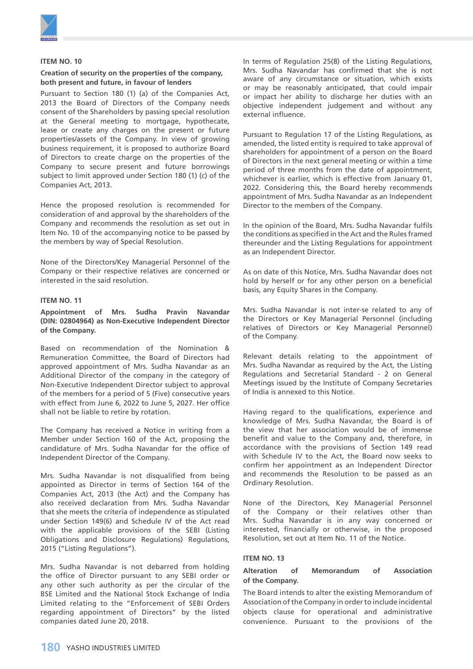

#### **ITEM NO. 10**

#### **Creation of security on the properties of the company, both present and future, in favour of lenders**

Pursuant to Section 180 (1) (a) of the Companies Act, 2013 the Board of Directors of the Company needs consent of the Shareholders by passing special resolution at the General meeting to mortgage, hypothecate, lease or create any charges on the present or future properties/assets of the Company. In view of growing business requirement, it is proposed to authorize Board of Directors to create charge on the properties of the Company to secure present and future borrowings subject to limit approved under Section 180 (1) (c) of the Companies Act, 2013.

Hence the proposed resolution is recommended for consideration of and approval by the shareholders of the Company and recommends the resolution as set out in Item No. 10 of the accompanying notice to be passed by the members by way of Special Resolution.

None of the Directors/Key Managerial Personnel of the Company or their respective relatives are concerned or interested in the said resolution.

#### **ITEM NO. 11**

**Appointment of Mrs. Sudha Pravin Navandar (DIN: 02804964) as Non-Executive Independent Director of the Company.**

Based on recommendation of the Nomination & Remuneration Committee, the Board of Directors had approved appointment of Mrs. Sudha Navandar as an Additional Director of the company in the category of Non-Executive Independent Director subject to approval of the members for a period of 5 (Five) consecutive years with effect from June 6, 2022 to June 5, 2027. Her office shall not be liable to retire by rotation.

The Company has received a Notice in writing from a Member under Section 160 of the Act, proposing the candidature of Mrs. Sudha Navandar for the office of Independent Director of the Company.

Mrs. Sudha Navandar is not disqualified from being appointed as Director in terms of Section 164 of the Companies Act, 2013 (the Act) and the Company has also received declaration from Mrs. Sudha Navandar that she meets the criteria of independence as stipulated under Section 149(6) and Schedule IV of the Act read with the applicable provisions of the SEBI (Listing Obligations and Disclosure Regulations) Regulations, 2015 ("Listing Regulations").

Mrs. Sudha Navandar is not debarred from holding the office of Director pursuant to any SEBI order or any other such authority as per the circular of the BSE Limited and the National Stock Exchange of India Limited relating to the "Enforcement of SEBI Orders regarding appointment of Directors" by the listed companies dated June 20, 2018.

In terms of Regulation 25(8) of the Listing Regulations, Mrs. Sudha Navandar has confirmed that she is not aware of any circumstance or situation, which exists or may be reasonably anticipated, that could impair or impact her ability to discharge her duties with an objective independent judgement and without any external influence.

Pursuant to Regulation 17 of the Listing Regulations, as amended, the listed entity is required to take approval of shareholders for appointment of a person on the Board of Directors in the next general meeting or within a time period of three months from the date of appointment, whichever is earlier, which is effective from January 01, 2022. Considering this, the Board hereby recommends appointment of Mrs. Sudha Navandar as an Independent Director to the members of the Company.

In the opinion of the Board, Mrs. Sudha Navandar fulfils the conditions as specified in the Act and the Rules framed thereunder and the Listing Regulations for appointment as an Independent Director.

As on date of this Notice, Mrs. Sudha Navandar does not hold by herself or for any other person on a beneficial basis, any Equity Shares in the Company.

Mrs. Sudha Navandar is not inter-se related to any of the Directors or Key Managerial Personnel (including relatives of Directors or Key Managerial Personnel) of the Company.

Relevant details relating to the appointment of Mrs. Sudha Navandar as required by the Act, the Listing Regulations and Secretarial Standard - 2 on General Meetings issued by the Institute of Company Secretaries of India is annexed to this Notice.

Having regard to the qualifications, experience and knowledge of Mrs. Sudha Navandar, the Board is of the view that her association would be of immense benefit and value to the Company and, therefore, in accordance with the provisions of Section 149 read with Schedule IV to the Act, the Board now seeks to confirm her appointment as an Independent Director and recommends the Resolution to be passed as an Ordinary Resolution.

None of the Directors, Key Managerial Personnel of the Company or their relatives other than Mrs. Sudha Navandar is in any way concerned or interested, financially or otherwise, in the proposed Resolution, set out at Item No. 11 of the Notice.

#### **ITEM NO. 13**

# **Alteration of Memorandum of Association of the Company.**

The Board intends to alter the existing Memorandum of Association of the Company in order to include incidental objects clause for operational and administrative convenience. Pursuant to the provisions of the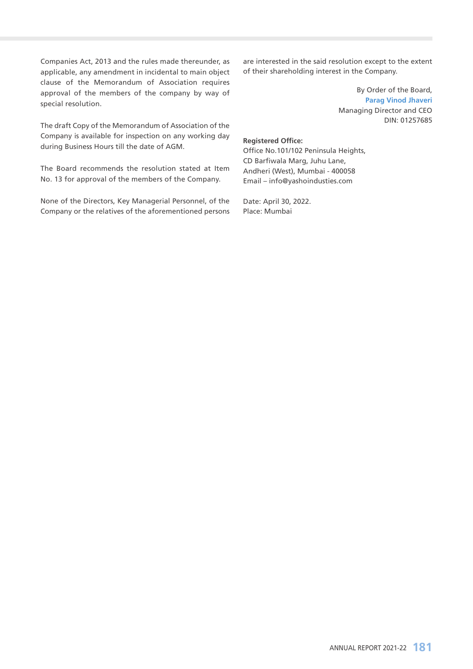Companies Act, 2013 and the rules made thereunder, as applicable, any amendment in incidental to main object clause of the Memorandum of Association requires approval of the members of the company by way of special resolution.

The draft Copy of the Memorandum of Association of the Company is available for inspection on any working day during Business Hours till the date of AGM.

The Board recommends the resolution stated at Item No. 13 for approval of the members of the Company.

None of the Directors, Key Managerial Personnel, of the Company or the relatives of the aforementioned persons are interested in the said resolution except to the extent of their shareholding interest in the Company.

> By Order of the Board, **Parag Vinod Jhaveri** Managing Director and CEO DIN: 01257685

# **Registered Office:**

Office No.101/102 Peninsula Heights, CD Barfiwala Marg, Juhu Lane, Andheri (West), Mumbai - 400058 Email – info@yashoindusties.com

Date: April 30, 2022. Place: Mumbai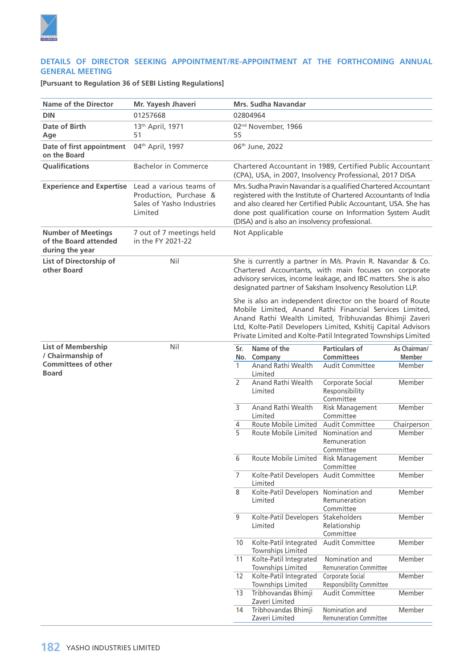

# **DETAILS OF DIRECTOR SEEKING APPOINTMENT/RE-APPOINTMENT AT THE FORTHCOMING ANNUAL GENERAL MEETING**

**[Pursuant to Regulation 36 of SEBI Listing Regulations]**

| <b>Name of the Director</b>                                           |                                                                                           |                                                                                                                      | <b>Mrs. Sudha Navandar</b>                                                                                                                                                                                                                                                                                          |                                                     |                               |
|-----------------------------------------------------------------------|-------------------------------------------------------------------------------------------|----------------------------------------------------------------------------------------------------------------------|---------------------------------------------------------------------------------------------------------------------------------------------------------------------------------------------------------------------------------------------------------------------------------------------------------------------|-----------------------------------------------------|-------------------------------|
|                                                                       | Mr. Yayesh Jhaveri                                                                        |                                                                                                                      |                                                                                                                                                                                                                                                                                                                     |                                                     |                               |
| <b>DIN</b>                                                            | 01257668                                                                                  |                                                                                                                      | 02804964                                                                                                                                                                                                                                                                                                            |                                                     |                               |
| Date of Birth<br>Age                                                  | 13 <sup>th</sup> April, 1971<br>51                                                        | 55                                                                                                                   | 02 <sup>nd</sup> November, 1966                                                                                                                                                                                                                                                                                     |                                                     |                               |
| Date of first appointment<br>on the Board                             | 04th April, 1997                                                                          | 06th June, 2022                                                                                                      |                                                                                                                                                                                                                                                                                                                     |                                                     |                               |
| <b>Oualifications</b>                                                 | <b>Bachelor in Commerce</b>                                                               | Chartered Accountant in 1989, Certified Public Accountant<br>(CPA), USA, in 2007, Insolvency Professional, 2017 DISA |                                                                                                                                                                                                                                                                                                                     |                                                     |                               |
| <b>Experience and Expertise</b>                                       | Lead a various teams of<br>Production, Purchase &<br>Sales of Yasho Industries<br>Limited |                                                                                                                      | Mrs. Sudha Pravin Navandar is a qualified Chartered Accountant<br>registered with the Institute of Chartered Accountants of India<br>and also cleared her Certified Public Accountant, USA. She has<br>done post qualification course on Information System Audit<br>(DISA) and is also an insolvency professional. |                                                     |                               |
| <b>Number of Meetings</b><br>of the Board attended<br>during the year | 7 out of 7 meetings held<br>in the FY 2021-22                                             |                                                                                                                      | Not Applicable                                                                                                                                                                                                                                                                                                      |                                                     |                               |
| List of Directorship of<br>other Board                                | Nil                                                                                       |                                                                                                                      | She is currently a partner in M/s. Pravin R. Navandar & Co.<br>Chartered Accountants, with main focuses on corporate<br>advisory services, income leakage, and IBC matters. She is also<br>designated partner of Saksham Insolvency Resolution LLP.                                                                 |                                                     |                               |
|                                                                       |                                                                                           |                                                                                                                      | She is also an independent director on the board of Route<br>Mobile Limited, Anand Rathi Financial Services Limited,<br>Anand Rathi Wealth Limited, Tribhuvandas Bhimji Zaveri<br>Ltd, Kolte-Patil Developers Limited, Kshitij Capital Advisors<br>Private Limited and Kolte-Patil Integrated Townships Limited     |                                                     |                               |
| <b>List of Membership</b><br>/ Chairmanship of                        | Nil                                                                                       | Sr.                                                                                                                  | Name of the<br>No. Company                                                                                                                                                                                                                                                                                          | <b>Particulars of</b><br><b>Committees</b>          | As Chairman/<br><b>Member</b> |
| <b>Committees of other</b><br><b>Board</b>                            |                                                                                           | $\mathbf{1}$                                                                                                         | Anand Rathi Wealth<br>Limited                                                                                                                                                                                                                                                                                       | <b>Audit Committee</b>                              | Member                        |
|                                                                       |                                                                                           | 2                                                                                                                    | Anand Rathi Wealth<br>Limited                                                                                                                                                                                                                                                                                       | Corporate Social<br>Responsibility<br>Committee     | Member                        |
|                                                                       |                                                                                           | $\overline{3}$                                                                                                       | Anand Rathi Wealth<br>Limited                                                                                                                                                                                                                                                                                       | <b>Risk Management</b><br>Committee                 | Member                        |
|                                                                       |                                                                                           | 4                                                                                                                    | Route Mobile Limited                                                                                                                                                                                                                                                                                                | <b>Audit Committee</b>                              | Chairperson                   |
|                                                                       |                                                                                           | 5                                                                                                                    | Route Mobile Limited                                                                                                                                                                                                                                                                                                | Nomination and<br>Remuneration<br>Committee         | Member                        |
|                                                                       |                                                                                           | 6                                                                                                                    | Route Mobile Limited Risk Management                                                                                                                                                                                                                                                                                | Committee                                           | Member                        |
|                                                                       |                                                                                           | $\overline{7}$                                                                                                       | Kolte-Patil Developers Audit Committee<br>Limited                                                                                                                                                                                                                                                                   |                                                     | Member                        |
|                                                                       |                                                                                           | 8                                                                                                                    | Kolte-Patil Developers Nomination and<br>Limited                                                                                                                                                                                                                                                                    | Remuneration<br>Committee                           | Member                        |
|                                                                       |                                                                                           | 9                                                                                                                    | Kolte-Patil Developers<br>Limited                                                                                                                                                                                                                                                                                   | Stakeholders<br>Relationship<br>Committee           | Member                        |
|                                                                       |                                                                                           | 10                                                                                                                   | Kolte-Patil Integrated<br>Townships Limited                                                                                                                                                                                                                                                                         | <b>Audit Committee</b>                              | Member                        |
|                                                                       |                                                                                           | 11                                                                                                                   | Kolte-Patil Integrated<br>Townships Limited                                                                                                                                                                                                                                                                         | Nomination and<br><b>Remuneration Committee</b>     | Member                        |
|                                                                       |                                                                                           | 12                                                                                                                   | Kolte-Patil Integrated<br>Townships Limited                                                                                                                                                                                                                                                                         | Corporate Social<br><b>Responsibility Committee</b> | Member                        |
|                                                                       |                                                                                           | 13                                                                                                                   | Tribhovandas Bhimji<br>Zaveri Limited                                                                                                                                                                                                                                                                               | <b>Audit Committee</b>                              | Member                        |
|                                                                       |                                                                                           | 14                                                                                                                   | Tribhovandas Bhimji<br>Zaveri Limited                                                                                                                                                                                                                                                                               | Nomination and<br><b>Remuneration Committee</b>     | Member                        |